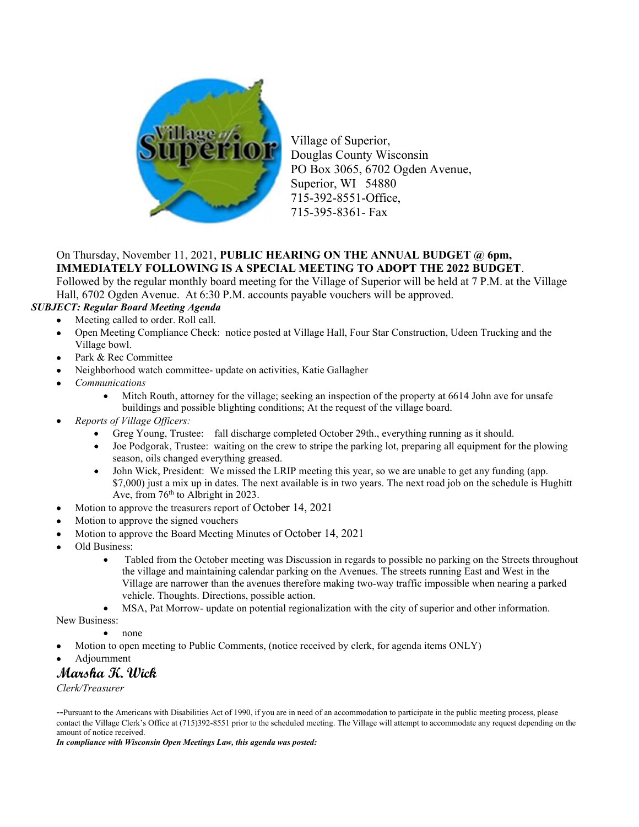

Village of Superior, Douglas County Wisconsin PO Box 3065, 6702 Ogden Avenue, Superior, WI 54880 715-392-8551-Office, 715-395-8361- Fax

## On Thursday, November 11, 2021, PUBLIC HEARING ON THE ANNUAL BUDGET @ 6pm, IMMEDIATELY FOLLOWING IS A SPECIAL MEETING TO ADOPT THE 2022 BUDGET.

Followed by the regular monthly board meeting for the Village of Superior will be held at 7 P.M. at the Village Hall, 6702 Ogden Avenue. At 6:30 P.M. accounts payable vouchers will be approved.

## SUBJECT: Regular Board Meeting Agenda

- Meeting called to order. Roll call.
- Open Meeting Compliance Check: notice posted at Village Hall, Four Star Construction, Udeen Trucking and the Village bowl.
- Park & Rec Committee
- Neighborhood watch committee- update on activities, Katie Gallagher
- Communications
	- Mitch Routh, attorney for the village; seeking an inspection of the property at 6614 John ave for unsafe buildings and possible blighting conditions; At the request of the village board.
- Reports of Village Officers:
	- Greg Young, Trustee: fall discharge completed October 29th., everything running as it should.
	- Joe Podgorak, Trustee: waiting on the crew to stripe the parking lot, preparing all equipment for the plowing season, oils changed everything greased.
	- John Wick, President: We missed the LRIP meeting this year, so we are unable to get any funding (app. \$7,000) just a mix up in dates. The next available is in two years. The next road job on the schedule is Hughitt Ave, from  $76<sup>th</sup>$  to Albright in 2023.
- Motion to approve the treasurers report of October 14, 2021
- Motion to approve the signed vouchers
- Motion to approve the Board Meeting Minutes of October 14, 2021
- Old Business:
	- Tabled from the October meeting was Discussion in regards to possible no parking on the Streets throughout the village and maintaining calendar parking on the Avenues. The streets running East and West in the Village are narrower than the avenues therefore making two-way traffic impossible when nearing a parked vehicle. Thoughts. Directions, possible action.
	- MSA, Pat Morrow- update on potential regionalization with the city of superior and other information.

New Business:

none

- Motion to open meeting to Public Comments, (notice received by clerk, for agenda items ONLY)
- Adjournment

## Marsha K. Wick

Clerk/Treasurer

--Pursuant to the Americans with Disabilities Act of 1990, if you are in need of an accommodation to participate in the public meeting process, please contact the Village Clerk's Office at (715)392-8551 prior to the scheduled meeting. The Village will attempt to accommodate any request depending on the amount of notice received.

In compliance with Wisconsin Open Meetings Law, this agenda was posted: